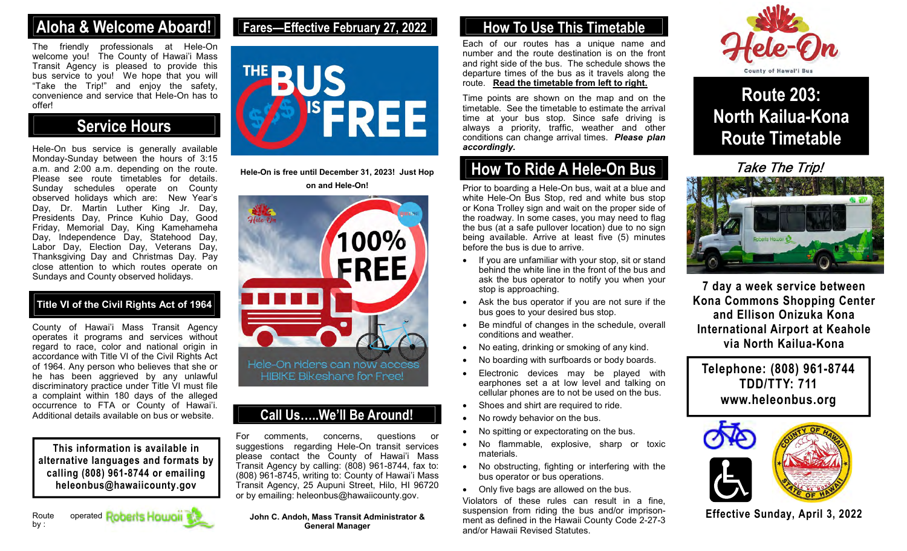## Aloha & Welcome Aboard! Fares—Effective February 27, 2022 How To Use This Timetable

The friendly professionals at Hele-On welcome you! The County of Hawai'i Mass Transit Agency is pleased to provide this bus service to you! We hope that you will "Take the Trip!" and enjoy the safety, convenience and service that Hele-On has to offer!

## Service Hours

Hele-On bus service is generally available Monday-Sunday between the hours of  $3:15$ a.m. and 2:00 a.m. depending on the route. Please see route timetables for details. Sunday schedules operate on County observed holidays which are: New Year's Day, Dr. Martin Luther King Jr. Day, Presidents Day, Prince Kuhio Day, Good Friday, Memorial Day, King Kamehameha Day, Independence Day, Statehood Day, Labor Day, Election Day, Veterans Day, Thanksgiving Day and Christmas Day. Pay close attention to which routes operate on Sundays and County observed holidays.

#### Title VI of the Civil Rights Act of 1964

County of Hawai'i Mass Transit Agency operates it programs and services without regard to race, color and national origin in accordance with Title VI of the Civil Rights Act of 1964. Any person who believes that she or he has been aggrieved by any unlawful HIBIKE Bikeshare for Free! discriminatory practice under Title VI must file a complaint within 180 days of the alleged occurrence to FTA or County of Hawai'i. Additional details available on bus or website.

This information is available in alternative languages and formats by calling (808) 961-8744 or emailing heleonbus@hawaiicounty.gov

## Fares—Effective February 27, 2022



Hele-On is free until December 31, 2023! Just Hop on and Hele-On!



### Call Us…..We'll Be Around!

For comments, concerns, questions or suggestions regarding Hele-On transit services please contact the County of Hawai'i Mass Transit Agency by calling: (808) 961-8744, fax to: (808) 961-8745, writing to: County of Hawai'i Mass Transit Agency, 25 Aupuni Street, Hilo, HI 96720 or by emailing: heleonbus@hawaiicounty.gov.

John C. Andoh, Mass Transit Administrator & General Manager

Each of our routes has a unique name and number and the route destination is on the front and right side of the bus. The schedule shows the departure times of the bus as it travels along the route. Read the timetable from left to right.

Time points are shown on the map and on the timetable. See the timetable to estimate the arrival time at your bus stop. Since safe driving is always a priority, traffic, weather and other conditions can change arrival times. Please plan accordingly.

## How To Ride A Hele-On Bus

Prior to boarding a Hele-On bus, wait at a blue and white Hele-On Bus Stop, red and white bus stop or Kona Trolley sign and wait on the proper side of the roadway. In some cases, you may need to flag the bus (at a safe pullover location) due to no sign being available. Arrive at least five (5) minutes before the bus is due to arrive.

- $\bullet$  If you are unfamiliar with your stop, sit or stand behind the white line in the front of the bus and ask the bus operator to notify you when your stop is approaching.
- Ask the bus operator if you are not sure if the bus goes to your desired bus stop.
- Be mindful of changes in the schedule, overall conditions and weather.
- No eating, drinking or smoking of any kind.
- No boarding with surfboards or body boards.
- Electronic devices may be played with earphones set a at low level and talking on cellular phones are to not be used on the bus.
- Shoes and shirt are required to ride.
- No rowdy behavior on the bus.
- No spitting or expectorating on the bus.
- No flammable, explosive, sharp or toxic materials.
- No obstructing, fighting or interfering with the bus operator or bus operations.
- Only five bags are allowed on the bus.

Violators of these rules can result in a fine, suspension from riding the bus and/or imprisonment as defined in the Hawaii County Code 2-27-3 and/or Hawaii Revised Statutes.



Route 203: North Kailua-Kona Route Timetable

Take The Trip!



7 day a week service between Kona Commons Shopping Center and Ellison Onizuka Kona International Airport at Keahole via North Kailua-Kona

Telephone: (808) 961-8744 TDD/TTY: 711 www.heleonbus.org



Effective Sunday, April 3, 2022